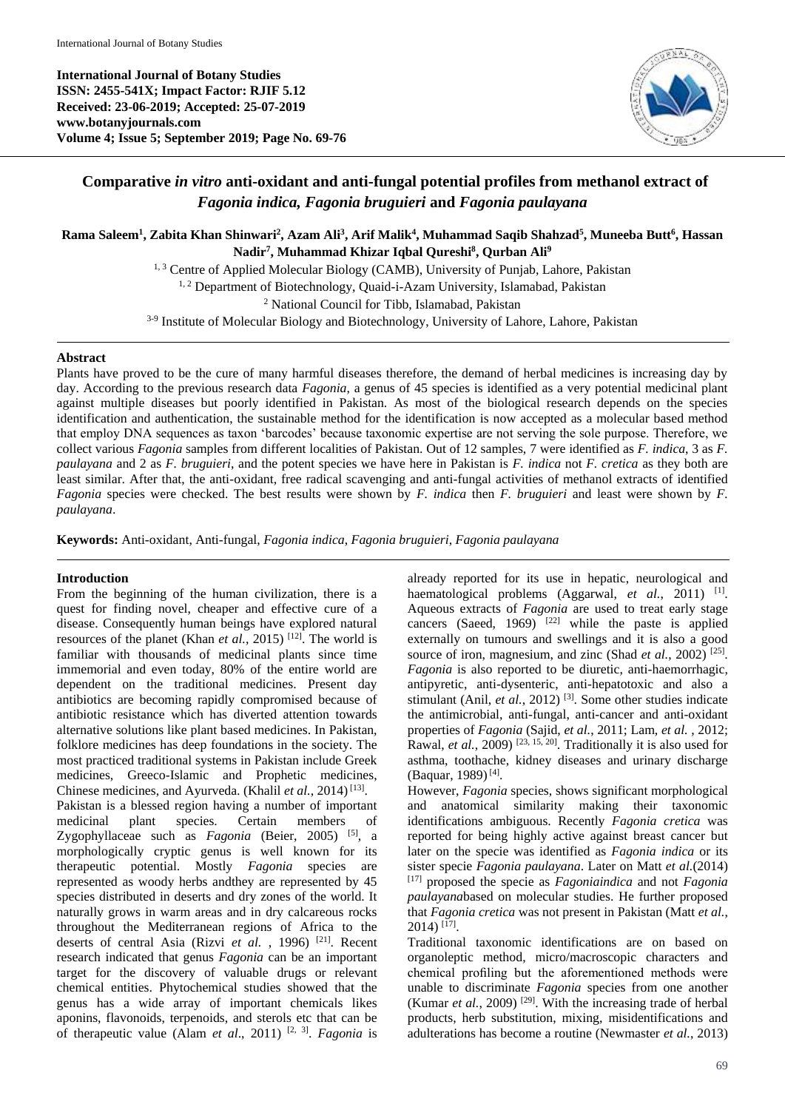**International Journal of Botany Studies ISSN: 2455-541X; Impact Factor: RJIF 5.12 Received: 23-06-2019; Accepted: 25-07-2019 www.botanyjournals.com Volume 4; Issue 5; September 2019; Page No. 69-76**



# **Comparative** *in vitro* **anti-oxidant and anti-fungal potential profiles from methanol extract of**  *Fagonia indica, Fagonia bruguieri* **and** *Fagonia paulayana*

**Rama Saleem<sup>1</sup> , Zabita Khan Shinwari<sup>2</sup> , Azam Ali<sup>3</sup> , Arif Malik<sup>4</sup> , Muhammad Saqib Shahzad<sup>5</sup> , Muneeba Butt<sup>6</sup> , Hassan Nadir<sup>7</sup> , Muhammad Khizar Iqbal Qureshi<sup>8</sup> , Qurban Ali<sup>9</sup>**

<sup>1, 3</sup> Centre of Applied Molecular Biology (CAMB), University of Punjab, Lahore, Pakistan

<sup>1, 2</sup> Department of Biotechnology, Quaid-i-Azam University, Islamabad, Pakistan

<sup>2</sup> National Council for Tibb, Islamabad, Pakistan

<sup>3-9</sup> Institute of Molecular Biology and Biotechnology, University of Lahore, Lahore, Pakistan

## **Abstract**

Plants have proved to be the cure of many harmful diseases therefore, the demand of herbal medicines is increasing day by day. According to the previous research data *Fagonia*, a genus of 45 species is identified as a very potential medicinal plant against multiple diseases but poorly identified in Pakistan. As most of the biological research depends on the species identification and authentication, the sustainable method for the identification is now accepted as a molecular based method that employ DNA sequences as taxon 'barcodes' because taxonomic expertise are not serving the sole purpose. Therefore, we collect various *Fagonia* samples from different localities of Pakistan. Out of 12 samples, 7 were identified as *F. indica*, 3 as *F. paulayana* and 2 as *F. bruguieri*, and the potent species we have here in Pakistan is *F. indica* not *F. cretica* as they both are least similar. After that, the anti-oxidant, free radical scavenging and anti-fungal activities of methanol extracts of identified *Fagonia* species were checked. The best results were shown by *F. indica* then *F. bruguieri* and least were shown by *F. paulayana*.

**Keywords:** Anti-oxidant, Anti-fungal, *Fagonia indica*, *Fagonia bruguieri*, *Fagonia paulayana*

## **Introduction**

From the beginning of the human civilization, there is a quest for finding novel, cheaper and effective cure of a disease. Consequently human beings have explored natural resources of the planet (Khan *et al.*, 2015)<sup>[12]</sup>. The world is familiar with thousands of medicinal plants since time immemorial and even today, 80% of the entire world are dependent on the traditional medicines. Present day antibiotics are becoming rapidly compromised because of antibiotic resistance which has diverted attention towards alternative solutions like plant based medicines. In Pakistan, folklore medicines has deep foundations in the society. The most practiced traditional systems in Pakistan include Greek medicines, Greeco-Islamic and Prophetic medicines, Chinese medicines, and Ayurveda. (Khalil *et al.*, 2014)<sup>[13]</sup>. Pakistan is a blessed region having a number of important medicinal plant species. Certain members of Zygophyllaceae such as *Fagonia* (Beier, 2005)<sup>[5]</sup>, a morphologically cryptic genus is well known for its therapeutic potential. Mostly *Fagonia* species are represented as woody herbs andthey are represented by 45 species distributed in deserts and dry zones of the world. It naturally grows in warm areas and in dry calcareous rocks throughout the Mediterranean regions of Africa to the deserts of central Asia (Rizvi *et al.*, 1996)<sup>[21]</sup>. Recent research indicated that genus *Fagonia* can be an important target for the discovery of valuable drugs or relevant chemical entities. Phytochemical studies showed that the genus has a wide array of important chemicals likes aponins, flavonoids, terpenoids, and sterols etc that can be of therapeutic value (Alam *et al*., 2011) [2, 3] . *Fagonia* is

already reported for its use in hepatic, neurological and haematological problems (Aggarwal, et al., 2011) <sup>[1]</sup>. Aqueous extracts of *Fagonia* are used to treat early stage cancers (Saeed,  $1969$ )<sup> $[22]$ </sup> while the paste is applied externally on tumours and swellings and it is also a good source of iron, magnesium, and zinc (Shad *et al.*, 2002)<sup>[25]</sup>. *Fagonia* is also reported to be diuretic, anti-haemorrhagic, antipyretic, anti-dysenteric, anti-hepatotoxic and also a stimulant (Anil, *et al.*, 2012)<sup>[3]</sup>. Some other studies indicate the antimicrobial, anti-fungal, anti-cancer and anti-oxidant properties of *Fagonia* (Sajid, *et al.*, 2011; Lam, *et al.* , 2012; Rawal, *et al.*, 2009)<sup>[23, 15, 20]. Traditionally it is also used for</sup> asthma, toothache, kidney diseases and urinary discharge (Baquar, 1989)<sup>[4]</sup>.

However, *Fagonia* species, shows significant morphological and anatomical similarity making their taxonomic identifications ambiguous. Recently *Fagonia cretica* was reported for being highly active against breast cancer but later on the specie was identified as *Fagonia indica* or its sister specie *Fagonia paulayana*. Later on Matt *et al.*(2014) [17] proposed the specie as *Fagoniaindica* and not *Fagonia paulayana*based on molecular studies. He further proposed that *Fagonia cretica* was not present in Pakistan (Matt *et al.*,  $2014$ ) <sup>[17]</sup>.

Traditional taxonomic identifications are on based on organoleptic method, micro/macroscopic characters and chemical profiling but the aforementioned methods were unable to discriminate *Fagonia* species from one another (Kumar  $et$   $al.$ , 2009)<sup>[29]</sup>. With the increasing trade of herbal products, herb substitution, mixing, misidentifications and adulterations has become a routine (Newmaster *et al.*, 2013)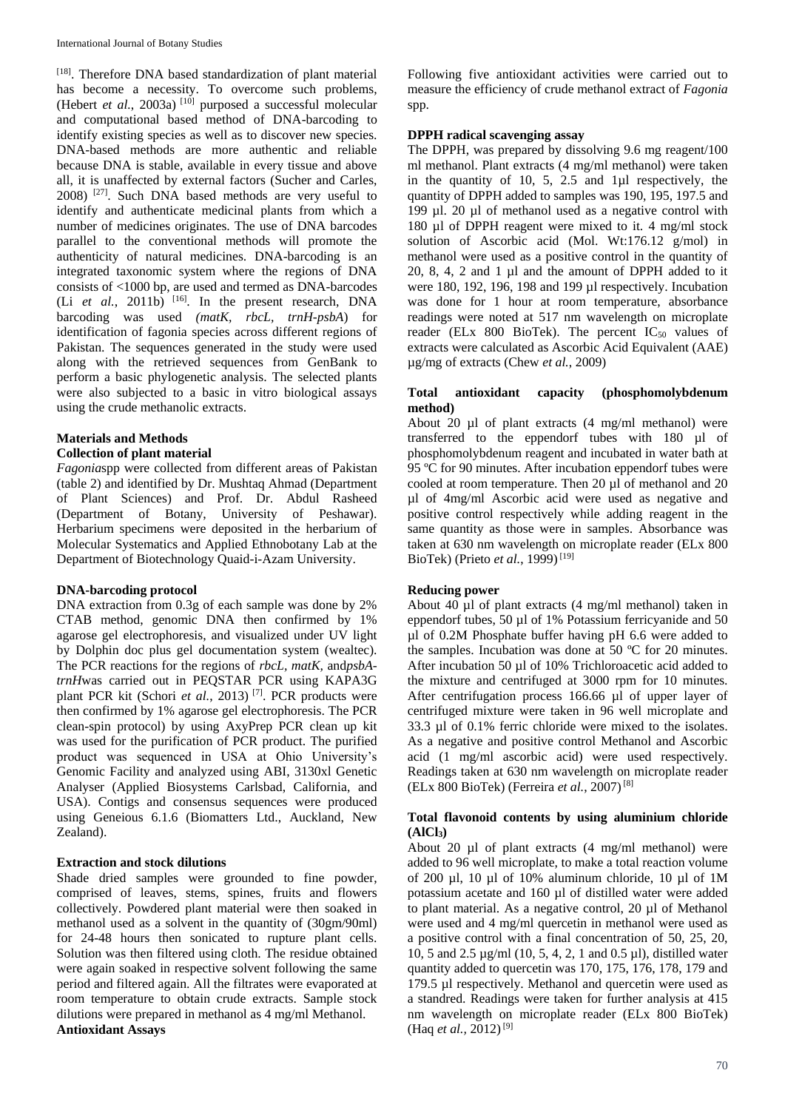[18]. Therefore DNA based standardization of plant material has become a necessity. To overcome such problems, (Hebert *et al.*, 2003a)<sup>[10]</sup> purposed a successful molecular and computational based method of DNA-barcoding to identify existing species as well as to discover new species. DNA-based methods are more authentic and reliable because DNA is stable, available in every tissue and above all, it is unaffected by external factors (Sucher and Carles, 2008) [27]. Such DNA based methods are very useful to identify and authenticate medicinal plants from which a number of medicines originates. The use of DNA barcodes parallel to the conventional methods will promote the authenticity of natural medicines. DNA-barcoding is an integrated taxonomic system where the regions of DNA consists of <1000 bp, are used and termed as DNA-barcodes (Li *et al.*, 2011b) [16]. In the present research, DNA barcoding was used *(matK, rbcL, trnH-psbA*) for identification of fagonia species across different regions of Pakistan. The sequences generated in the study were used along with the retrieved sequences from GenBank to perform a basic phylogenetic analysis. The selected plants were also subjected to a basic in vitro biological assays using the crude methanolic extracts.

## **Materials and Methods Collection of plant material**

*Fagonia*spp were collected from different areas of Pakistan (table 2) and identified by Dr. Mushtaq Ahmad (Department of Plant Sciences) and Prof. Dr. Abdul Rasheed (Department of Botany, University of Peshawar). Herbarium specimens were deposited in the herbarium of Molecular Systematics and Applied Ethnobotany Lab at the Department of Biotechnology Quaid-i-Azam University.

## **DNA-barcoding protocol**

DNA extraction from 0.3g of each sample was done by 2% CTAB method, genomic DNA then confirmed by 1% agarose gel electrophoresis, and visualized under UV light by Dolphin doc plus gel documentation system (wealtec). The PCR reactions for the regions of *rbcL, matK,* and*psbAtrnH*was carried out in PEQSTAR PCR using KAPA3G plant PCR kit (Schori *et al.*, 2013)<sup>[7]</sup>. PCR products were then confirmed by 1% agarose gel electrophoresis. The PCR clean-spin protocol) by using AxyPrep PCR clean up kit was used for the purification of PCR product. The purified product was sequenced in USA at Ohio University's Genomic Facility and analyzed using ABI, 3130xl Genetic Analyser (Applied Biosystems Carlsbad, California, and USA). Contigs and consensus sequences were produced using Geneious 6.1.6 (Biomatters Ltd., Auckland, New Zealand).

## **Extraction and stock dilutions**

Shade dried samples were grounded to fine powder, comprised of leaves, stems, spines, fruits and flowers collectively. Powdered plant material were then soaked in methanol used as a solvent in the quantity of (30gm/90ml) for 24-48 hours then sonicated to rupture plant cells. Solution was then filtered using cloth. The residue obtained were again soaked in respective solvent following the same period and filtered again. All the filtrates were evaporated at room temperature to obtain crude extracts. Sample stock dilutions were prepared in methanol as 4 mg/ml Methanol. **Antioxidant Assays**

Following five antioxidant activities were carried out to measure the efficiency of crude methanol extract of *Fagonia*  spp.

## **DPPH radical scavenging assay**

The DPPH, was prepared by dissolving 9.6 mg reagent/100 ml methanol. Plant extracts (4 mg/ml methanol) were taken in the quantity of 10, 5, 2.5 and 1µl respectively, the quantity of DPPH added to samples was 190, 195, 197.5 and 199 µl. 20 µl of methanol used as a negative control with 180 µl of DPPH reagent were mixed to it. 4 mg/ml stock solution of Ascorbic acid (Mol. Wt:176.12 g/mol) in methanol were used as a positive control in the quantity of 20, 8, 4, 2 and 1 µl and the amount of DPPH added to it were 180, 192, 196, 198 and 199 µl respectively. Incubation was done for 1 hour at room temperature, absorbance readings were noted at 517 nm wavelength on microplate reader (ELx  $800$  BioTek). The percent IC<sub>50</sub> values of extracts were calculated as Ascorbic Acid Equivalent (AAE) µg/mg of extracts (Chew *et al.*, 2009)

#### **Total antioxidant capacity (phosphomolybdenum method)**

About 20 µl of plant extracts (4 mg/ml methanol) were transferred to the eppendorf tubes with 180 µl of phosphomolybdenum reagent and incubated in water bath at 95 ºC for 90 minutes. After incubation eppendorf tubes were cooled at room temperature. Then 20 µl of methanol and 20 µl of 4mg/ml Ascorbic acid were used as negative and positive control respectively while adding reagent in the same quantity as those were in samples. Absorbance was taken at 630 nm wavelength on microplate reader (ELx 800 BioTek) (Prieto *et al.*, 1999)<sup>[19]</sup>

## **Reducing power**

About 40 µl of plant extracts (4 mg/ml methanol) taken in eppendorf tubes, 50 µl of 1% Potassium ferricyanide and 50 µl of 0.2M Phosphate buffer having pH 6.6 were added to the samples. Incubation was done at 50 ºC for 20 minutes. After incubation 50 µl of 10% Trichloroacetic acid added to the mixture and centrifuged at 3000 rpm for 10 minutes. After centrifugation process 166.66 µl of upper layer of centrifuged mixture were taken in 96 well microplate and 33.3 µl of 0.1% ferric chloride were mixed to the isolates. As a negative and positive control Methanol and Ascorbic acid (1 mg/ml ascorbic acid) were used respectively. Readings taken at 630 nm wavelength on microplate reader (ELx 800 BioTek) (Ferreira *et al.*, 2007)[8]

#### **Total flavonoid contents by using aluminium chloride (AlCl3)**

About 20  $\mu$ l of plant extracts (4 mg/ml methanol) were added to 96 well microplate, to make a total reaction volume of 200 µl, 10 µl of 10% aluminum chloride, 10 µl of 1M potassium acetate and 160 µl of distilled water were added to plant material. As a negative control, 20 µl of Methanol were used and 4 mg/ml quercetin in methanol were used as a positive control with a final concentration of 50, 25, 20, 10, 5 and 2.5 µg/ml (10, 5, 4, 2, 1 and 0.5 µl), distilled water quantity added to quercetin was 170, 175, 176, 178, 179 and 179.5 µl respectively. Methanol and quercetin were used as a standred. Readings were taken for further analysis at 415 nm wavelength on microplate reader (ELx 800 BioTek) (Haq *et al.*, 2012)<sup>[9]</sup>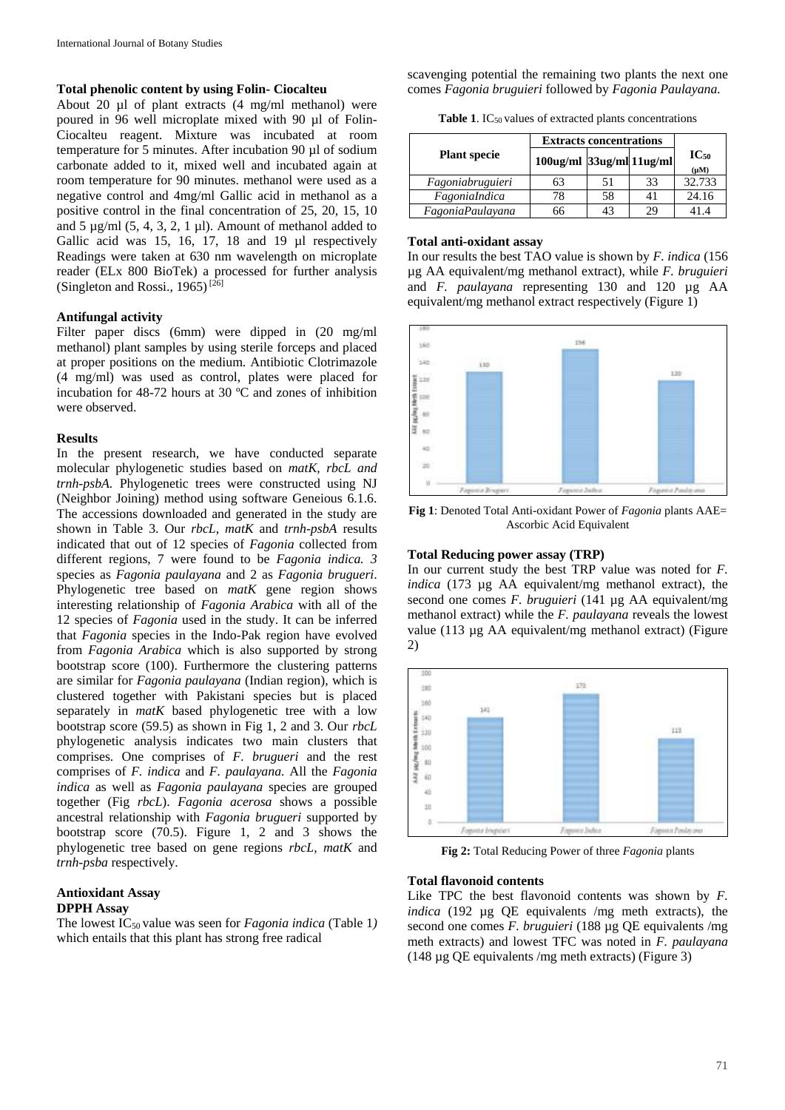#### **Total phenolic content by using Folin- Ciocalteu**

About 20 µl of plant extracts (4 mg/ml methanol) were poured in 96 well microplate mixed with 90 µl of Folin-Ciocalteu reagent. Mixture was incubated at room temperature for 5 minutes. After incubation 90 µl of sodium carbonate added to it, mixed well and incubated again at room temperature for 90 minutes. methanol were used as a negative control and 4mg/ml Gallic acid in methanol as a positive control in the final concentration of 25, 20, 15, 10 and  $5 \mu g/ml$  (5, 4, 3, 2, 1  $\mu$ l). Amount of methanol added to Gallic acid was 15, 16, 17, 18 and 19 µl respectively Readings were taken at 630 nm wavelength on microplate reader (ELx 800 BioTek) a processed for further analysis (Singleton and Rossi., 1965)<sup>[26]</sup>

#### **Antifungal activity**

Filter paper discs (6mm) were dipped in (20 mg/ml methanol) plant samples by using sterile forceps and placed at proper positions on the medium. Antibiotic Clotrimazole (4 mg/ml) was used as control, plates were placed for incubation for 48-72 hours at 30 ºC and zones of inhibition were observed.

#### **Results**

In the present research, we have conducted separate molecular phylogenetic studies based on *matK, rbcL and trnh-psbA.* Phylogenetic trees were constructed using NJ (Neighbor Joining) method using software Geneious 6.1.6. The accessions downloaded and generated in the study are shown in Table 3. Our *rbcL*, *matK* and *trnh-psbA* results indicated that out of 12 species of *Fagonia* collected from different regions, 7 were found to be *Fagonia indica. 3* species as *Fagonia paulayana* and 2 as *Fagonia brugueri*. Phylogenetic tree based on *matK* gene region shows interesting relationship of *Fagonia Arabica* with all of the 12 species of *Fagonia* used in the study. It can be inferred that *Fagonia* species in the Indo-Pak region have evolved from *Fagonia Arabica* which is also supported by strong bootstrap score (100). Furthermore the clustering patterns are similar for *Fagonia paulayana* (Indian region), which is clustered together with Pakistani species but is placed separately in *matK* based phylogenetic tree with a low bootstrap score (59.5) as shown in Fig 1, 2 and 3. Our *rbcL* phylogenetic analysis indicates two main clusters that comprises. One comprises of *F. brugueri* and the rest comprises of *F. indica* and *F. paulayana.* All the *Fagonia indica* as well as *Fagonia paulayana* species are grouped together (Fig *rbcL*). *Fagonia acerosa* shows a possible ancestral relationship with *Fagonia brugueri* supported by bootstrap score (70.5). Figure 1, 2 and 3 shows the phylogenetic tree based on gene regions *rbcL, matK* and *trnh-psba* respectively.

## **Antioxidant Assay DPPH Assay**

The lowest IC<sub>50</sub> value was seen for *Fagonia indica* (Table 1) which entails that this plant has strong free radical

scavenging potential the remaining two plants the next one comes *Fagonia bruguieri* followed by *Fagonia Paulayana.*

**Table 1.** IC<sub>50</sub> values of extracted plants concentrations

|                     | <b>Extracts concentrations</b> |    |    |                        |
|---------------------|--------------------------------|----|----|------------------------|
| <b>Plant specie</b> | 100ug/ml 33ug/ml 11ug/ml       |    |    | $IC_{50}$<br>$(\mu M)$ |
| Fagoniabruguieri    | 63                             | 51 | 33 | 32.733                 |
| FagoniaIndica       | 78                             | 58 |    | 24.16                  |
| FagoniaPaulayana    | 66                             |    |    | 41.4                   |

#### **Total anti-oxidant assay**

In our results the best TAO value is shown by *F. indica* (156 µg AA equivalent/mg methanol extract), while *F. bruguieri* and *F. paulayana* representing 130 and 120 µg AA equivalent/mg methanol extract respectively (Figure 1)



**Fig 1**: Denoted Total Anti-oxidant Power of *Fagonia* plants AAE= Ascorbic Acid Equivalent

#### **Total Reducing power assay (TRP)**

In our current study the best TRP value was noted for *F. indica* (173 µg AA equivalent/mg methanol extract), the second one comes *F. bruguieri* (141 ug AA equivalent/mg) methanol extract) while the *F. paulayana* reveals the lowest value (113 µg AA equivalent/mg methanol extract) (Figure 2)



**Fig 2:** Total Reducing Power of three *Fagonia* plants

#### **Total flavonoid contents**

Like TPC the best flavonoid contents was shown by *F. indica* (192 µg QE equivalents /mg meth extracts), the second one comes *F. bruguieri* (188 µg QE equivalents /mg meth extracts) and lowest TFC was noted in *F. paulayana* (148 µg QE equivalents /mg meth extracts) (Figure 3)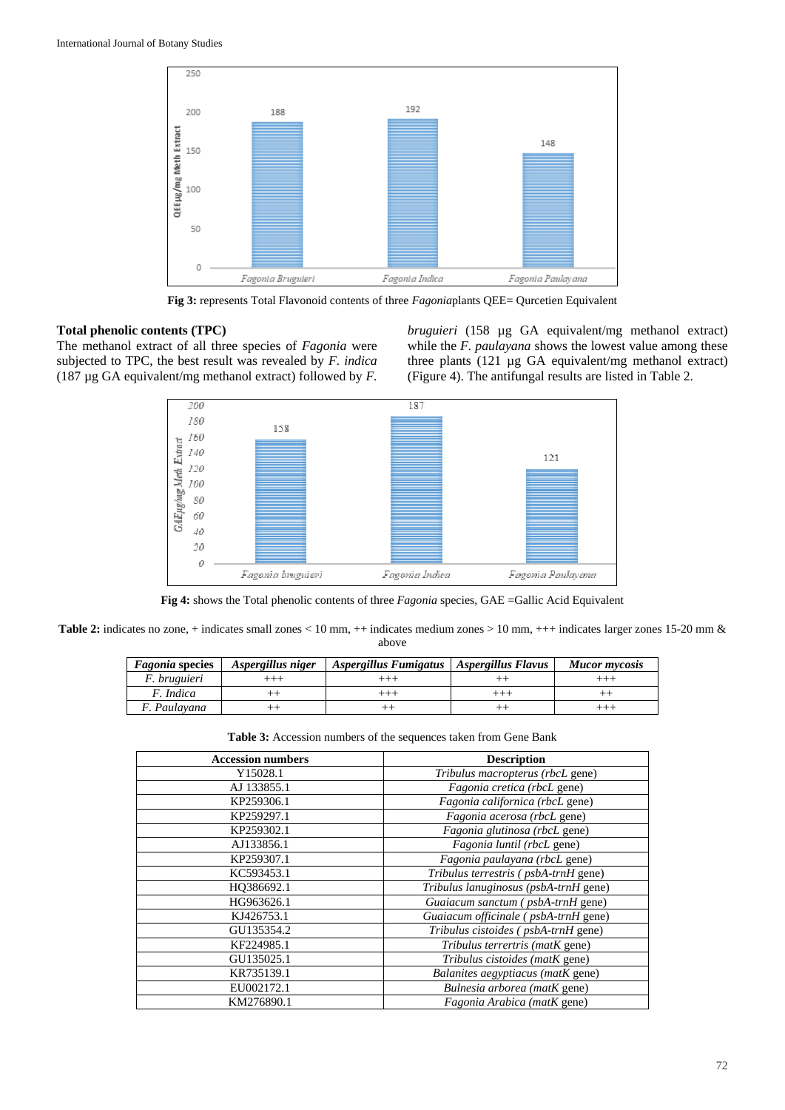

**Fig 3:** represents Total Flavonoid contents of three *Fagonia*plants QEE= Qurcetien Equivalent

#### **Total phenolic contents (TPC)**

The methanol extract of all three species of *Fagonia* were subjected to TPC, the best result was revealed by *F. indica* (187 µg GA equivalent/mg methanol extract) followed by *F.* 

*bruguieri* (158 µg GA equivalent/mg methanol extract) while the *F. paulayana* shows the lowest value among these three plants (121 µg GA equivalent/mg methanol extract) (Figure 4). The antifungal results are listed in Table 2.



**Fig 4:** shows the Total phenolic contents of three *Fagonia* species, GAE =Gallic Acid Equivalent

**Table 2:** indicates no zone, + indicates small zones < 10 mm, ++ indicates medium zones > 10 mm, +++ indicates larger zones 15-20 mm & above

| <i>Fagonia</i> species | Aspergillus niger | Aspergillus Fumigatus   Aspergillus Flavus | <b>Mucor mycosis</b> |
|------------------------|-------------------|--------------------------------------------|----------------------|
| <i>F.</i> bruguieri    |                   |                                            |                      |
| F. Indica              |                   |                                            |                      |
| F. Paulavana           |                   |                                            |                      |

**Table 3:** Accession numbers of the sequences taken from Gene Bank

| <b>Accession numbers</b> | <b>Description</b>                    |
|--------------------------|---------------------------------------|
| Y15028.1                 | Tribulus macropterus (rbcL gene)      |
| AJ 133855.1              | Fagonia cretica (rbcL gene)           |
| KP259306.1               | Fagonia californica (rbcL gene)       |
| KP259297.1               | Fagonia acerosa (rbcL gene)           |
| KP259302.1               | Fagonia glutinosa (rbcL gene)         |
| AJ133856.1               | Fagonia luntil (rbcL gene)            |
| KP259307.1               | Fagonia paulayana (rbcL gene)         |
| KC593453.1               | Tribulus terrestris (psbA-trnH gene)  |
| HO386692.1               | Tribulus lanuginosus (psbA-trnH gene) |
| HG963626.1               | Guaiacum sanctum (psbA-trnH gene)     |
| KJ426753.1               | Guaiacum officinale (psbA-trnH gene)  |
| GU135354.2               | Tribulus cistoides (psbA-trnH gene)   |
| KF224985.1               | Tribulus terrertris (matK gene)       |
| GU135025.1               | Tribulus cistoides (matK gene)        |
| KR735139.1               | Balanites aegyptiacus (matK gene)     |
| EU002172.1               | Bulnesia arborea (matK gene)          |
| KM276890.1               | Fagonia Arabica (matK gene)           |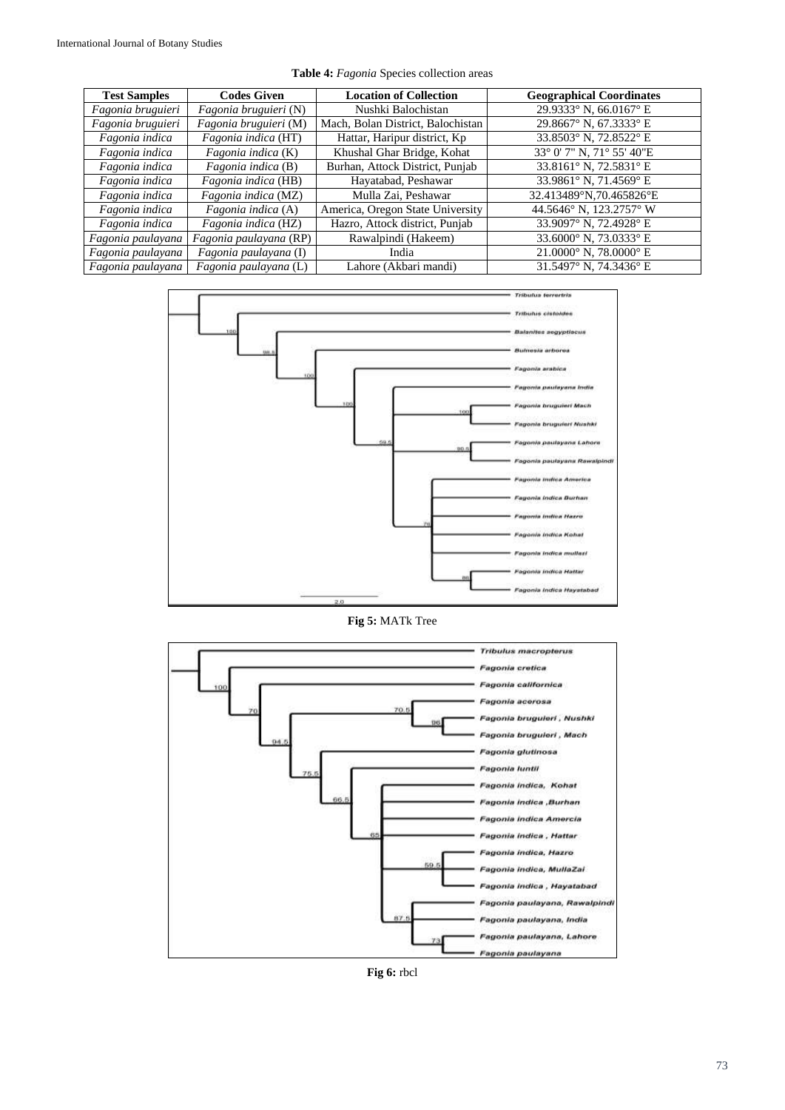|  |  |  | Table 4: Fagonia Species collection areas |  |
|--|--|--|-------------------------------------------|--|
|--|--|--|-------------------------------------------|--|

| <b>Test Samples</b> | <b>Codes Given</b>     | <b>Location of Collection</b>     | <b>Geographical Coordinates</b> |
|---------------------|------------------------|-----------------------------------|---------------------------------|
| Fagonia bruguieri   | Fagonia bruguieri (N)  | Nushki Balochistan                | 29.9333° N, 66.0167° E          |
| Fagonia bruguieri   | Fagonia bruguieri (M)  | Mach, Bolan District, Balochistan | 29.8667° N, 67.3333° E          |
| Fagonia indica      | Fagonia indica (HT)    | Hattar, Haripur district, Kp      | 33.8503° N, 72.8522° E          |
| Fagonia indica      | Fagonia indica (K)     | Khushal Ghar Bridge, Kohat        | 33° 0' 7" N, 71° 55' 40"E       |
| Fagonia indica      | Fagonia indica (B)     | Burhan, Attock District, Punjab   | 33.8161° N, 72.5831° E          |
| Fagonia indica      | Fagonia indica (HB)    | Hayatabad, Peshawar               | 33.9861° N, 71.4569° E          |
| Fagonia indica      | Fagonia indica (MZ)    | Mulla Zai, Peshawar               | 32.413489°N,70.465826°E         |
| Fagonia indica      | Fagonia indica (A)     | America, Oregon State University  | 44.5646° N, 123.2757° W         |
| Fagonia indica      | Fagonia indica (HZ)    | Hazro, Attock district, Punjab    | 33.9097° N, 72.4928° E          |
| Fagonia paulayana   | Fagonia paulayana (RP) | Rawalpindi (Hakeem)               | 33.6000° N, 73.0333° E          |
| Fagonia paulayana   | Fagonia paulayana (I)  | India                             | $21.0000^{\circ}$ N, 78.0000° E |
| Fagonia paulayana   | Fagonia paulayana (L)  | Lahore (Akbari mandi)             | 31.5497° N. 74.3436° E          |



**Fig 5:** MATk Tree



**Fig 6:** rbcl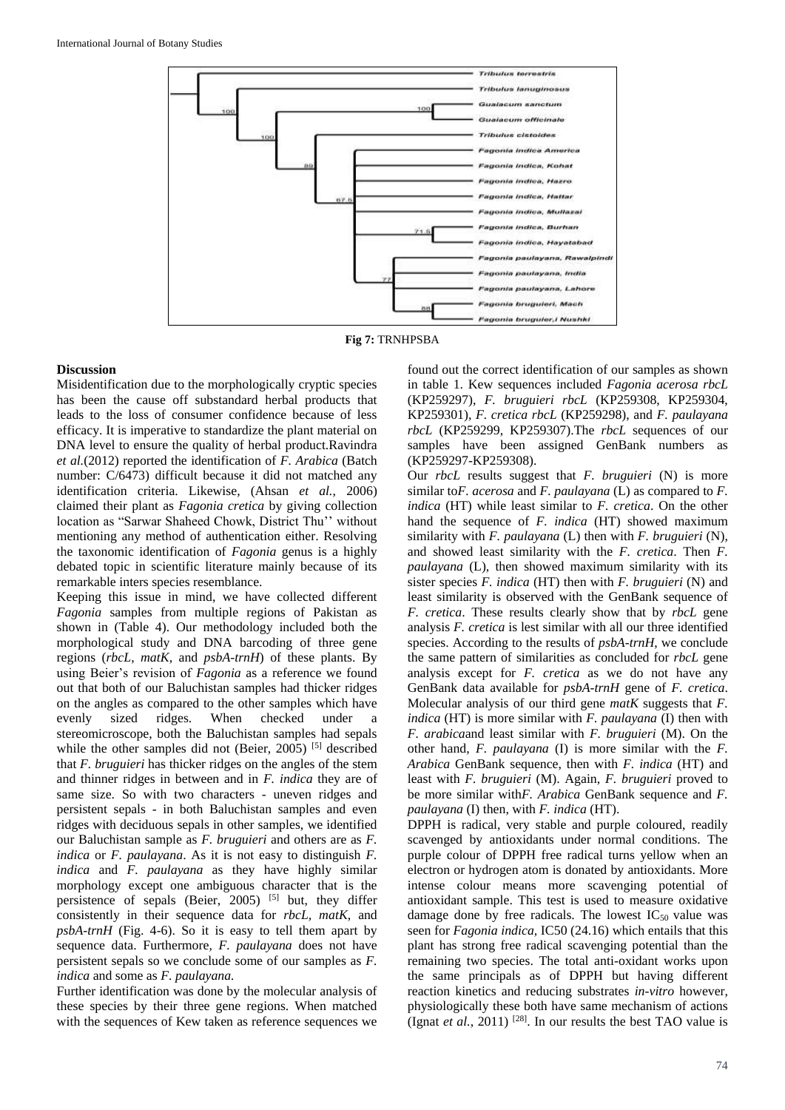

**Fig 7:** TRNHPSBA

## **Discussion**

Misidentification due to the morphologically cryptic species has been the cause off substandard herbal products that leads to the loss of consumer confidence because of less efficacy. It is imperative to standardize the plant material on DNA level to ensure the quality of herbal product.Ravindra *et al.*(2012) reported the identification of *F. Arabica* (Batch number: C/6473) difficult because it did not matched any identification criteria. Likewise, (Ahsan *et al.*, 2006) claimed their plant as *Fagonia cretica* by giving collection location as "Sarwar Shaheed Chowk, District Thu'' without mentioning any method of authentication either. Resolving the taxonomic identification of *Fagonia* genus is a highly debated topic in scientific literature mainly because of its remarkable inters species resemblance.

Keeping this issue in mind, we have collected different *Fagonia* samples from multiple regions of Pakistan as shown in (Table 4). Our methodology included both the morphological study and DNA barcoding of three gene regions (*rbcL*, *matK*, and *psbA-trnH*) of these plants. By using Beier's revision of *Fagonia* as a reference we found out that both of our Baluchistan samples had thicker ridges on the angles as compared to the other samples which have evenly sized ridges. When checked under a stereomicroscope, both the Baluchistan samples had sepals while the other samples did not (Beier, 2005)<sup>[5]</sup> described that *F. bruguieri* has thicker ridges on the angles of the stem and thinner ridges in between and in *F. indica* they are of same size. So with two characters - uneven ridges and persistent sepals - in both Baluchistan samples and even ridges with deciduous sepals in other samples, we identified our Baluchistan sample as *F. bruguieri* and others are as *F. indica* or *F. paulayana*. As it is not easy to distinguish *F. indica* and *F. paulayana* as they have highly similar morphology except one ambiguous character that is the persistence of sepals (Beier, 2005)<sup>[5]</sup> but, they differ consistently in their sequence data for *rbcL, matK*, and *psbA-trnH* (Fig. 4-6). So it is easy to tell them apart by sequence data. Furthermore*, F. paulayana* does not have persistent sepals so we conclude some of our samples as *F. indica* and some as *F. paulayana.*

Further identification was done by the molecular analysis of these species by their three gene regions. When matched with the sequences of Kew taken as reference sequences we

found out the correct identification of our samples as shown in table 1. Kew sequences included *Fagonia acerosa rbcL* (KP259297), *F. bruguieri rbcL* (KP259308, KP259304, KP259301), *F. cretica rbcL* (KP259298), and *F. paulayana rbcL* (KP259299, KP259307).The *rbcL* sequences of our samples have been assigned GenBank numbers as (KP259297-KP259308).

Our *rbcL* results suggest that *F. bruguieri* (N) is more similar to*F. acerosa* and *F. paulayana* (L) as compared to *F. indica* (HT) while least similar to *F. cretica*. On the other hand the sequence of *F. indica* (HT) showed maximum similarity with *F. paulayana* (L) then with *F. bruguieri* (N), and showed least similarity with the *F. cretica*. Then *F. paulayana* (L), then showed maximum similarity with its sister species *F. indica* (HT) then with *F. bruguieri* (N) and least similarity is observed with the GenBank sequence of *F. cretica*. These results clearly show that by *rbcL* gene analysis *F. cretica* is lest similar with all our three identified species. According to the results of *psbA-trnH*, we conclude the same pattern of similarities as concluded for *rbcL* gene analysis except for *F. cretica* as we do not have any GenBank data available for *psbA-trnH* gene of *F. cretica*. Molecular analysis of our third gene *matK* suggests that *F. indica* (HT) is more similar with *F. paulayana* (I) then with *F. arabica*and least similar with *F. bruguieri* (M). On the other hand, *F. paulayana* (I) is more similar with the *F. Arabica* GenBank sequence, then with *F. indica* (HT) and least with *F. bruguieri* (M). Again, *F. bruguieri* proved to be more similar with*F. Arabica* GenBank sequence and *F. paulayana* (I) then, with *F. indica* (HT).

DPPH is radical, very stable and purple coloured, readily scavenged by antioxidants under normal conditions. The purple colour of DPPH free radical turns yellow when an electron or hydrogen atom is donated by antioxidants. More intense colour means more scavenging potential of antioxidant sample. This test is used to measure oxidative damage done by free radicals. The lowest  $IC_{50}$  value was seen for *Fagonia indica,* IC50 (24.16) which entails that this plant has strong free radical scavenging potential than the remaining two species. The total anti-oxidant works upon the same principals as of DPPH but having different reaction kinetics and reducing substrates *in-vitro* however, physiologically these both have same mechanism of actions (Ignat *et al.*, 2011) <sup>[28]</sup>. In our results the best TAO value is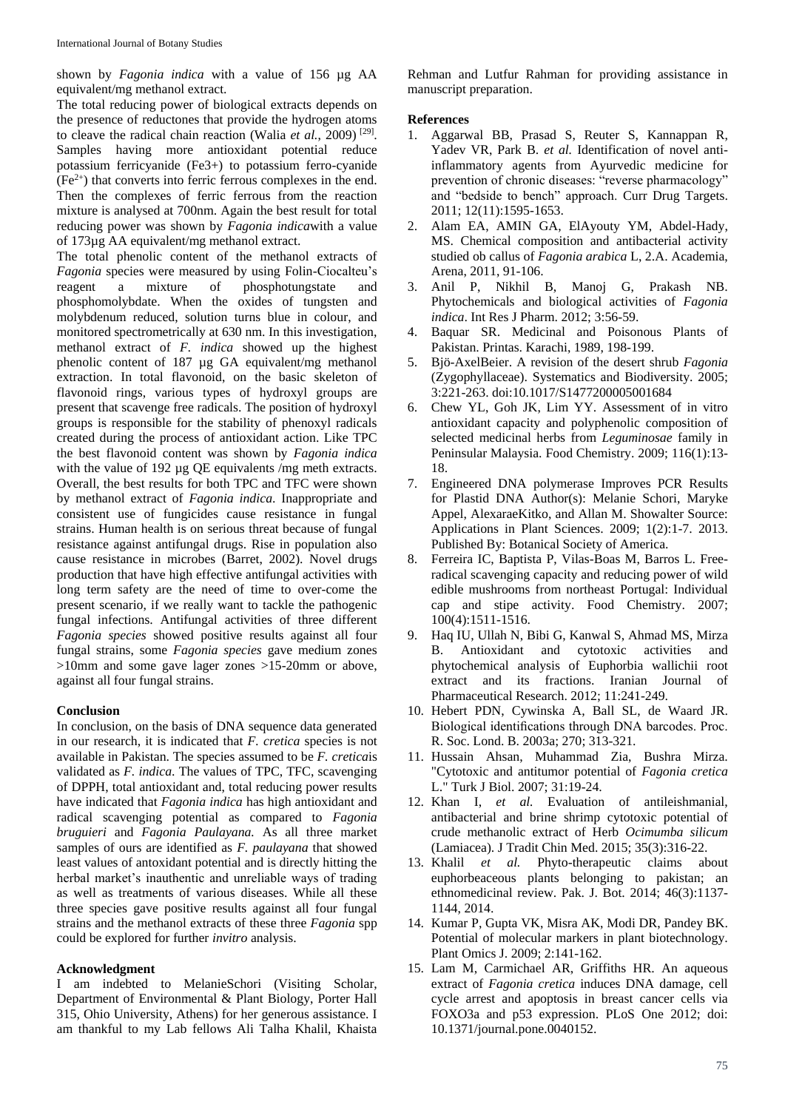shown by *Fagonia indica* with a value of 156 µg AA equivalent/mg methanol extract.

The total reducing power of biological extracts depends on the presence of reductones that provide the hydrogen atoms to cleave the radical chain reaction (Walia *et al.*, 2009)<sup>[29]</sup>. Samples having more antioxidant potential reduce potassium ferricyanide (Fe3+) to potassium ferro-cyanide  $(Fe<sup>2+</sup>)$  that converts into ferric ferrous complexes in the end. Then the complexes of ferric ferrous from the reaction mixture is analysed at 700nm. Again the best result for total reducing power was shown by *Fagonia indica*with a value of 173µg AA equivalent/mg methanol extract.

The total phenolic content of the methanol extracts of *Fagonia* species were measured by using Folin-Ciocalteu's reagent a mixture of phosphotungstate and phosphomolybdate. When the oxides of tungsten and molybdenum reduced, solution turns blue in colour, and monitored spectrometrically at 630 nm. In this investigation, methanol extract of *F. indica* showed up the highest phenolic content of 187 µg GA equivalent/mg methanol extraction. In total flavonoid, on the basic skeleton of flavonoid rings, various types of hydroxyl groups are present that scavenge free radicals. The position of hydroxyl groups is responsible for the stability of phenoxyl radicals created during the process of antioxidant action. Like TPC the best flavonoid content was shown by *Fagonia indica* with the value of 192 µg QE equivalents /mg meth extracts. Overall, the best results for both TPC and TFC were shown by methanol extract of *Fagonia indica*. Inappropriate and consistent use of fungicides cause resistance in fungal strains. Human health is on serious threat because of fungal resistance against antifungal drugs. Rise in population also cause resistance in microbes (Barret, 2002). Novel drugs production that have high effective antifungal activities with long term safety are the need of time to over-come the present scenario, if we really want to tackle the pathogenic fungal infections. Antifungal activities of three different *Fagonia species* showed positive results against all four fungal strains, some *Fagonia species* gave medium zones >10mm and some gave lager zones >15-20mm or above, against all four fungal strains.

## **Conclusion**

In conclusion, on the basis of DNA sequence data generated in our research, it is indicated that *F. cretica* species is not available in Pakistan. The species assumed to be *F. cretica*is validated as *F. indica*. The values of TPC, TFC, scavenging of DPPH, total antioxidant and, total reducing power results have indicated that *Fagonia indica* has high antioxidant and radical scavenging potential as compared to *Fagonia bruguieri* and *Fagonia Paulayana.* As all three market samples of ours are identified as *F. paulayana* that showed least values of antoxidant potential and is directly hitting the herbal market's inauthentic and unreliable ways of trading as well as treatments of various diseases. While all these three species gave positive results against all four fungal strains and the methanol extracts of these three *Fagonia* spp could be explored for further *invitro* analysis.

## **Acknowledgment**

I am indebted to MelanieSchori (Visiting Scholar, Department of Environmental & Plant Biology, Porter Hall 315, Ohio University, Athens) for her generous assistance. I am thankful to my Lab fellows Ali Talha Khalil, Khaista Rehman and Lutfur Rahman for providing assistance in manuscript preparation.

## **References**

- 1. Aggarwal BB, Prasad S, Reuter S, Kannappan R, Yadev VR, Park B. *et al.* Identification of novel antiinflammatory agents from Ayurvedic medicine for prevention of chronic diseases: "reverse pharmacology" and "bedside to bench" approach. Curr Drug Targets. 2011; 12(11):1595-1653.
- 2. Alam EA, AMIN GA, ElAyouty YM, Abdel-Hady, MS. Chemical composition and antibacterial activity studied ob callus of *Fagonia arabica* L, 2.A. Academia, Arena, 2011, 91-106.
- 3. Anil P, Nikhil B, Manoj G, Prakash NB. Phytochemicals and biological activities of *Fagonia indica*. Int Res J Pharm. 2012; 3:56-59.
- 4. Baquar SR. Medicinal and Poisonous Plants of Pakistan. Printas. Karachi, 1989, 198-199.
- 5. Bjö-AxelBeier. A revision of the desert shrub *Fagonia* (Zygophyllaceae). Systematics and Biodiversity. 2005; 3:221-263. doi:10.1017/S1477200005001684
- 6. Chew YL, Goh JK, Lim YY. Assessment of in vitro antioxidant capacity and polyphenolic composition of selected medicinal herbs from *Leguminosae* family in Peninsular Malaysia. Food Chemistry. 2009; 116(1):13- 18.
- 7. Engineered DNA polymerase Improves PCR Results for Plastid DNA Author(s): Melanie Schori, Maryke Appel, AlexaraeKitko, and Allan M. Showalter Source: Applications in Plant Sciences. 2009; 1(2):1-7. 2013. Published By: Botanical Society of America.
- 8. Ferreira IC, Baptista P, Vilas-Boas M, Barros L. Freeradical scavenging capacity and reducing power of wild edible mushrooms from northeast Portugal: Individual cap and stipe activity. Food Chemistry. 2007; 100(4):1511-1516.
- 9. Haq IU, Ullah N, Bibi G, Kanwal S, Ahmad MS, Mirza B. Antioxidant and cytotoxic activities and phytochemical analysis of Euphorbia wallichii root extract and its fractions. Iranian Journal of Pharmaceutical Research. 2012; 11:241-249.
- 10. Hebert PDN, Cywinska A, Ball SL, de Waard JR. Biological identifications through DNA barcodes. Proc. R. Soc. Lond. B. 2003a; 270; 313-321.
- 11. Hussain Ahsan, Muhammad Zia, Bushra Mirza. "Cytotoxic and antitumor potential of *Fagonia cretica* L." Turk J Biol. 2007; 31:19-24.
- 12. Khan I, *et al.* Evaluation of antileishmanial, antibacterial and brine shrimp cytotoxic potential of crude methanolic extract of Herb *Ocimumba silicum* (Lamiacea). J Tradit Chin Med. 2015; 35(3):316-22.
- 13. Khalil *et al.* Phyto-therapeutic claims about euphorbeaceous plants belonging to pakistan; an ethnomedicinal review. Pak. J. Bot. 2014; 46(3):1137- 1144, 2014.
- 14. Kumar P, Gupta VK, Misra AK, Modi DR, Pandey BK. Potential of molecular markers in plant biotechnology. Plant Omics J. 2009; 2:141-162.
- 15. Lam M, Carmichael AR, Griffiths HR. An aqueous extract of *Fagonia cretica* induces DNA damage, cell cycle arrest and apoptosis in breast cancer cells via FOXO3a and p53 expression. PLoS One 2012; doi: 10.1371/journal.pone.0040152.